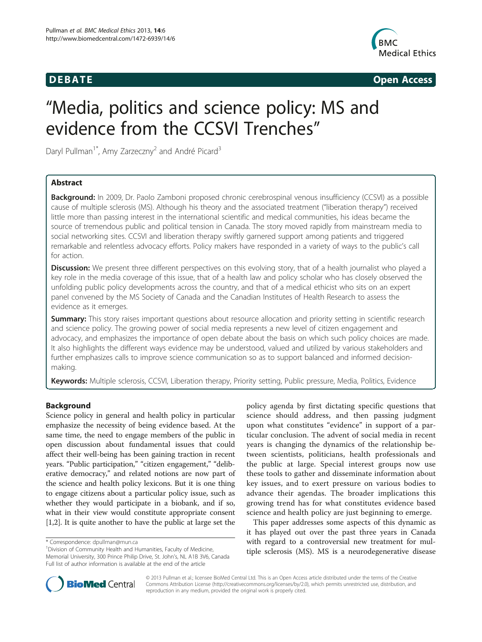

**DEBATE CONSIDERENT CONSIDERED ACCESS** 

# "Media, politics and science policy: MS and evidence from the CCSVI Trenches"

Daryl Pullman<sup>1\*</sup>, Amy Zarzeczny<sup>2</sup> and André Picard<sup>3</sup>

# Abstract

Background: In 2009, Dr. Paolo Zamboni proposed chronic cerebrospinal venous insufficiency (CCSVI) as a possible cause of multiple sclerosis (MS). Although his theory and the associated treatment ("liberation therapy") received little more than passing interest in the international scientific and medical communities, his ideas became the source of tremendous public and political tension in Canada. The story moved rapidly from mainstream media to social networking sites. CCSVI and liberation therapy swiftly garnered support among patients and triggered remarkable and relentless advocacy efforts. Policy makers have responded in a variety of ways to the public's call for action.

Discussion: We present three different perspectives on this evolving story, that of a health journalist who played a key role in the media coverage of this issue, that of a health law and policy scholar who has closely observed the unfolding public policy developments across the country, and that of a medical ethicist who sits on an expert panel convened by the MS Society of Canada and the Canadian Institutes of Health Research to assess the evidence as it emerges.

**Summary:** This story raises important questions about resource allocation and priority setting in scientific research and science policy. The growing power of social media represents a new level of citizen engagement and advocacy, and emphasizes the importance of open debate about the basis on which such policy choices are made. It also highlights the different ways evidence may be understood, valued and utilized by various stakeholders and further emphasizes calls to improve science communication so as to support balanced and informed decisionmaking.

Keywords: Multiple sclerosis, CCSVI, Liberation therapy, Priority setting, Public pressure, Media, Politics, Evidence

# Background

Science policy in general and health policy in particular emphasize the necessity of being evidence based. At the same time, the need to engage members of the public in open discussion about fundamental issues that could affect their well-being has been gaining traction in recent years. "Public participation," "citizen engagement," "deliberative democracy," and related notions are now part of the science and health policy lexicons. But it is one thing to engage citizens about a particular policy issue, such as whether they would participate in a biobank, and if so, what in their view would constitute appropriate consent [[1,2](#page-7-0)]. It is quite another to have the public at large set the

<sup>1</sup> Division of Community Health and Humanities, Faculty of Medicine, Memorial University, 300 Prince Philip Drive, St. John's, NL A1B 3V6, Canada Full list of author information is available at the end of the article

policy agenda by first dictating specific questions that science should address, and then passing judgment upon what constitutes "evidence" in support of a particular conclusion. The advent of social media in recent years is changing the dynamics of the relationship between scientists, politicians, health professionals and the public at large. Special interest groups now use these tools to gather and disseminate information about key issues, and to exert pressure on various bodies to advance their agendas. The broader implications this growing trend has for what constitutes evidence based science and health policy are just beginning to emerge.

This paper addresses some aspects of this dynamic as it has played out over the past three years in Canada with regard to a controversial new treatment for multiple sclerosis (MS). MS is a neurodegenerative disease



© 2013 Pullman et al.; licensee BioMed Central Ltd. This is an Open Access article distributed under the terms of the Creative Commons Attribution License [\(http://creativecommons.org/licenses/by/2.0\)](http://creativecommons.org/licenses/by/2.0), which permits unrestricted use, distribution, and reproduction in any medium, provided the original work is properly cited.

<sup>\*</sup> Correspondence: [dpullman@mun.ca](mailto:dpullman@mun.ca) <sup>1</sup>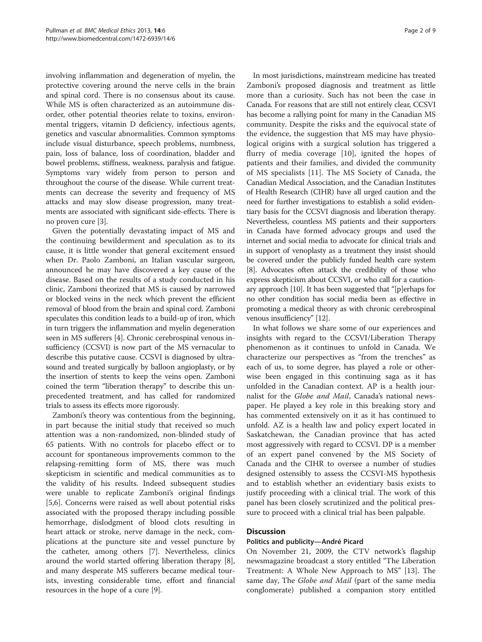involving inflammation and degeneration of myelin, the protective covering around the nerve cells in the brain and spinal cord. There is no consensus about its cause. While MS is often characterized as an autoimmune disorder, other potential theories relate to toxins, environmental triggers, vitamin D deficiency, infectious agents, genetics and vascular abnormalities. Common symptoms include visual disturbance, speech problems, numbness, pain, loss of balance, loss of coordination, bladder and bowel problems, stiffness, weakness, paralysis and fatigue. Symptoms vary widely from person to person and throughout the course of the disease. While current treatments can decrease the severity and frequency of MS attacks and may slow disease progression, many treatments are associated with significant side-effects. There is no proven cure [\[3](#page-7-0)].

Given the potentially devastating impact of MS and the continuing bewilderment and speculation as to its cause, it is little wonder that general excitement ensued when Dr. Paolo Zamboni, an Italian vascular surgeon, announced he may have discovered a key cause of the disease. Based on the results of a study conducted in his clinic, Zamboni theorized that MS is caused by narrowed or blocked veins in the neck which prevent the efficient removal of blood from the brain and spinal cord. Zamboni speculates this condition leads to a build-up of iron, which in turn triggers the inflammation and myelin degeneration seen in MS sufferers [\[4](#page-7-0)]. Chronic cerebrospinal venous insufficiency (CCSVI) is now part of the MS vernacular to describe this putative cause. CCSVI is diagnosed by ultrasound and treated surgically by balloon angioplasty, or by the insertion of stents to keep the veins open. Zamboni coined the term "liberation therapy" to describe this unprecedented treatment, and has called for randomized trials to assess its effects more rigorously.

Zamboni's theory was contentious from the beginning, in part because the initial study that received so much attention was a non-randomized, non-blinded study of 65 patients. With no controls for placebo effect or to account for spontaneous improvements common to the relapsing-remitting form of MS, there was much skepticism in scientific and medical communities as to the validity of his results. Indeed subsequent studies were unable to replicate Zamboni's original findings [[5,6\]](#page-7-0). Concerns were raised as well about potential risks associated with the proposed therapy including possible hemorrhage, dislodgment of blood clots resulting in heart attack or stroke, nerve damage in the neck, complications at the puncture site and vessel puncture by the catheter, among others [\[7\]](#page-7-0). Nevertheless, clinics around the world started offering liberation therapy [\[8](#page-7-0)], and many desperate MS sufferers became medical tourists, investing considerable time, effort and financial resources in the hope of a cure [\[9\]](#page-7-0).

In most jurisdictions, mainstream medicine has treated Zamboni's proposed diagnosis and treatment as little more than a curiosity. Such has not been the case in Canada. For reasons that are still not entirely clear, CCSVI has become a rallying point for many in the Canadian MS community. Despite the risks and the equivocal state of the evidence, the suggestion that MS may have physiological origins with a surgical solution has triggered a flurry of media coverage [[10\]](#page-7-0), ignited the hopes of patients and their families, and divided the community of MS specialists [\[11](#page-7-0)]. The MS Society of Canada, the Canadian Medical Association, and the Canadian Institutes of Health Research (CIHR) have all urged caution and the need for further investigations to establish a solid evidentiary basis for the CCSVI diagnosis and liberation therapy. Nevertheless, countless MS patients and their supporters in Canada have formed advocacy groups and used the internet and social media to advocate for clinical trials and in support of venoplasty as a treatment they insist should be covered under the publicly funded health care system [[8](#page-7-0)]. Advocates often attack the credibility of those who express skepticism about CCSVI, or who call for a cautionary approach [[10](#page-7-0)]. It has been suggested that "[p]erhaps for no other condition has social media been as effective in promoting a medical theory as with chronic cerebrospinal venous insufficiency" [\[12\]](#page-7-0).

In what follows we share some of our experiences and insights with regard to the CCSVI/Liberation Therapy phenomenon as it continues to unfold in Canada. We characterize our perspectives as "from the trenches" as each of us, to some degree, has played a role or otherwise been engaged in this continuing saga as it has unfolded in the Canadian context. AP is a health journalist for the Globe and Mail, Canada's national newspaper. He played a key role in this breaking story and has commented extensively on it as it has continued to unfold. AZ is a health law and policy expert located in Saskatchewan, the Canadian province that has acted most aggressively with regard to CCSVI. DP is a member of an expert panel convened by the MS Society of Canada and the CIHR to oversee a number of studies designed ostensibly to assess the CCSVI-MS hypothesis and to establish whether an evidentiary basis exists to justify proceeding with a clinical trial. The work of this panel has been closely scrutinized and the political pressure to proceed with a clinical trial has been palpable.

# **Discussion**

#### Politics and publicity—André Picard

On November 21, 2009, the CTV network's flagship newsmagazine broadcast a story entitled "The Liberation Treatment: A Whole New Approach to MS" [[13\]](#page-7-0). The same day, The *Globe and Mail* (part of the same media conglomerate) published a companion story entitled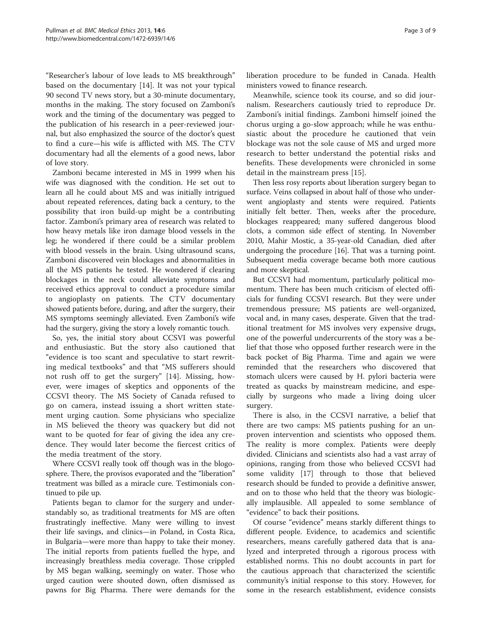"Researcher's labour of love leads to MS breakthrough" based on the documentary [[14](#page-7-0)]. It was not your typical 90 second TV news story, but a 30-minute documentary, months in the making. The story focused on Zamboni's work and the timing of the documentary was pegged to the publication of his research in a peer-reviewed journal, but also emphasized the source of the doctor's quest to find a cure—his wife is afflicted with MS. The CTV documentary had all the elements of a good news, labor of love story.

Zamboni became interested in MS in 1999 when his wife was diagnosed with the condition. He set out to learn all he could about MS and was initially intrigued about repeated references, dating back a century, to the possibility that iron build-up might be a contributing factor. Zamboni's primary area of research was related to how heavy metals like iron damage blood vessels in the leg; he wondered if there could be a similar problem with blood vessels in the brain. Using ultrasound scans, Zamboni discovered vein blockages and abnormalities in all the MS patients he tested. He wondered if clearing blockages in the neck could alleviate symptoms and received ethics approval to conduct a procedure similar to angioplasty on patients. The CTV documentary showed patients before, during, and after the surgery, their MS symptoms seemingly alleviated. Even Zamboni's wife had the surgery, giving the story a lovely romantic touch.

So, yes, the initial story about CCSVI was powerful and enthusiastic. But the story also cautioned that "evidence is too scant and speculative to start rewriting medical textbooks" and that "MS sufferers should not rush off to get the surgery" [\[14](#page-7-0)]. Missing, however, were images of skeptics and opponents of the CCSVI theory. The MS Society of Canada refused to go on camera, instead issuing a short written statement urging caution. Some physicians who specialize in MS believed the theory was quackery but did not want to be quoted for fear of giving the idea any credence. They would later become the fiercest critics of the media treatment of the story.

Where CCSVI really took off though was in the blogosphere. There, the provisos evaporated and the "liberation" treatment was billed as a miracle cure. Testimonials continued to pile up.

Patients began to clamor for the surgery and understandably so, as traditional treatments for MS are often frustratingly ineffective. Many were willing to invest their life savings, and clinics—in Poland, in Costa Rica, in Bulgaria—were more than happy to take their money. The initial reports from patients fuelled the hype, and increasingly breathless media coverage. Those crippled by MS began walking, seemingly on water. Those who urged caution were shouted down, often dismissed as pawns for Big Pharma. There were demands for the liberation procedure to be funded in Canada. Health ministers vowed to finance research.

Meanwhile, science took its course, and so did journalism. Researchers cautiously tried to reproduce Dr. Zamboni's initial findings. Zamboni himself joined the chorus urging a go-slow approach; while he was enthusiastic about the procedure he cautioned that vein blockage was not the sole cause of MS and urged more research to better understand the potential risks and benefits. These developments were chronicled in some detail in the mainstream press [\[15](#page-7-0)].

Then less rosy reports about liberation surgery began to surface. Veins collapsed in about half of those who underwent angioplasty and stents were required. Patients initially felt better. Then, weeks after the procedure, blockages reappeared; many suffered dangerous blood clots, a common side effect of stenting. In November 2010, Mahir Mostic, a 35-year-old Canadian, died after undergoing the procedure [\[16](#page-7-0)]. That was a turning point. Subsequent media coverage became both more cautious and more skeptical.

But CCSVI had momentum, particularly political momentum. There has been much criticism of elected officials for funding CCSVI research. But they were under tremendous pressure; MS patients are well-organized, vocal and, in many cases, desperate. Given that the traditional treatment for MS involves very expensive drugs, one of the powerful undercurrents of the story was a belief that those who opposed further research were in the back pocket of Big Pharma. Time and again we were reminded that the researchers who discovered that stomach ulcers were caused by H. pylori bacteria were treated as quacks by mainstream medicine, and especially by surgeons who made a living doing ulcer surgery.

There is also, in the CCSVI narrative, a belief that there are two camps: MS patients pushing for an unproven intervention and scientists who opposed them. The reality is more complex. Patients were deeply divided. Clinicians and scientists also had a vast array of opinions, ranging from those who believed CCSVI had some validity [[17](#page-7-0)] through to those that believed research should be funded to provide a definitive answer, and on to those who held that the theory was biologically implausible. All appealed to some semblance of "evidence" to back their positions.

Of course "evidence" means starkly different things to different people. Evidence, to academics and scientific researchers, means carefully gathered data that is analyzed and interpreted through a rigorous process with established norms. This no doubt accounts in part for the cautious approach that characterized the scientific community's initial response to this story. However, for some in the research establishment, evidence consists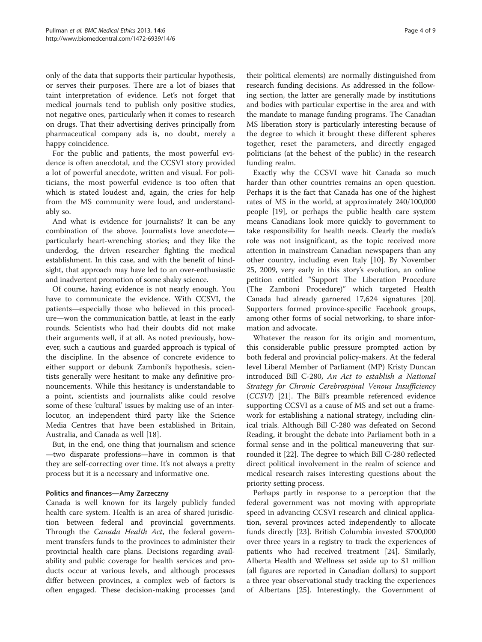only of the data that supports their particular hypothesis, or serves their purposes. There are a lot of biases that taint interpretation of evidence. Let's not forget that medical journals tend to publish only positive studies, not negative ones, particularly when it comes to research on drugs. That their advertising derives principally from pharmaceutical company ads is, no doubt, merely a happy coincidence.

For the public and patients, the most powerful evidence is often anecdotal, and the CCSVI story provided a lot of powerful anecdote, written and visual. For politicians, the most powerful evidence is too often that which is stated loudest and, again, the cries for help from the MS community were loud, and understandably so.

And what is evidence for journalists? It can be any combination of the above. Journalists love anecdote particularly heart-wrenching stories; and they like the underdog, the driven researcher fighting the medical establishment. In this case, and with the benefit of hindsight, that approach may have led to an over-enthusiastic and inadvertent promotion of some shaky science.

Of course, having evidence is not nearly enough. You have to communicate the evidence. With CCSVI, the patients—especially those who believed in this procedure—won the communication battle, at least in the early rounds. Scientists who had their doubts did not make their arguments well, if at all. As noted previously, however, such a cautious and guarded approach is typical of the discipline. In the absence of concrete evidence to either support or debunk Zamboni's hypothesis, scientists generally were hesitant to make any definitive pronouncements. While this hesitancy is understandable to a point, scientists and journalists alike could resolve some of these 'cultural' issues by making use of an interlocutor, an independent third party like the Science Media Centres that have been established in Britain, Australia, and Canada as well [[18\]](#page-7-0).

But, in the end, one thing that journalism and science —two disparate professions—have in common is that they are self-correcting over time. It's not always a pretty process but it is a necessary and informative one.

## Politics and finances—Amy Zarzeczny

Canada is well known for its largely publicly funded health care system. Health is an area of shared jurisdiction between federal and provincial governments. Through the *Canada Health Act*, the federal government transfers funds to the provinces to administer their provincial health care plans. Decisions regarding availability and public coverage for health services and products occur at various levels, and although processes differ between provinces, a complex web of factors is often engaged. These decision-making processes (and

their political elements) are normally distinguished from research funding decisions. As addressed in the following section, the latter are generally made by institutions and bodies with particular expertise in the area and with the mandate to manage funding programs. The Canadian MS liberation story is particularly interesting because of the degree to which it brought these different spheres together, reset the parameters, and directly engaged politicians (at the behest of the public) in the research funding realm.

Exactly why the CCSVI wave hit Canada so much harder than other countries remains an open question. Perhaps it is the fact that Canada has one of the highest rates of MS in the world, at approximately 240/100,000 people [[19\]](#page-7-0), or perhaps the public health care system means Canadians look more quickly to government to take responsibility for health needs. Clearly the media's role was not insignificant, as the topic received more attention in mainstream Canadian newspapers than any other country, including even Italy [\[10\]](#page-7-0). By November 25, 2009, very early in this story's evolution, an online petition entitled "Support The Liberation Procedure (The Zamboni Procedure)" which targeted Health Canada had already garnered 17,624 signatures [\[20](#page-7-0)]. Supporters formed province-specific Facebook groups, among other forms of social networking, to share information and advocate.

Whatever the reason for its origin and momentum, this considerable public pressure prompted action by both federal and provincial policy-makers. At the federal level Liberal Member of Parliament (MP) Kristy Duncan introduced Bill C-280, An Act to establish a National Strategy for Chronic Cerebrospinal Venous Insufficiency (CCSVI) [[21\]](#page-7-0). The Bill's preamble referenced evidence supporting CCSVI as a cause of MS and set out a framework for establishing a national strategy, including clinical trials. Although Bill C-280 was defeated on Second Reading, it brought the debate into Parliament both in a formal sense and in the political maneuvering that surrounded it [[22\]](#page-7-0). The degree to which Bill C-280 reflected direct political involvement in the realm of science and medical research raises interesting questions about the priority setting process.

Perhaps partly in response to a perception that the federal government was not moving with appropriate speed in advancing CCSVI research and clinical application, several provinces acted independently to allocate funds directly [[23](#page-7-0)]. British Columbia invested \$700,000 over three years in a registry to track the experiences of patients who had received treatment [[24\]](#page-7-0). Similarly, Alberta Health and Wellness set aside up to \$1 million (all figures are reported in Canadian dollars) to support a three year observational study tracking the experiences of Albertans [[25](#page-7-0)]. Interestingly, the Government of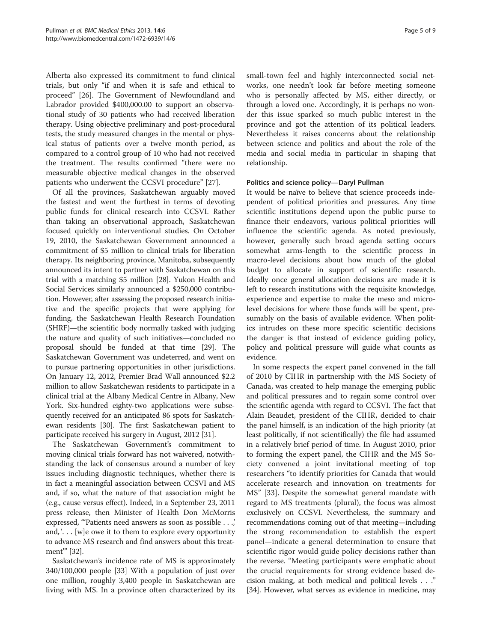Alberta also expressed its commitment to fund clinical trials, but only "if and when it is safe and ethical to proceed" [[26](#page-7-0)]. The Government of Newfoundland and Labrador provided \$400,000.00 to support an observational study of 30 patients who had received liberation therapy. Using objective preliminary and post-procedural tests, the study measured changes in the mental or physical status of patients over a twelve month period, as compared to a control group of 10 who had not received the treatment. The results confirmed "there were no measurable objective medical changes in the observed patients who underwent the CCSVI procedure" [\[27\]](#page-7-0).

Of all the provinces, Saskatchewan arguably moved the fastest and went the furthest in terms of devoting public funds for clinical research into CCSVI. Rather than taking an observational approach, Saskatchewan focused quickly on interventional studies. On October 19, 2010, the Saskatchewan Government announced a commitment of \$5 million to clinical trials for liberation therapy. Its neighboring province, Manitoba, subsequently announced its intent to partner with Saskatchewan on this trial with a matching \$5 million [\[28\]](#page-7-0). Yukon Health and Social Services similarly announced a \$250,000 contribution. However, after assessing the proposed research initiative and the specific projects that were applying for funding, the Saskatchewan Health Research Foundation (SHRF)—the scientific body normally tasked with judging the nature and quality of such initiatives—concluded no proposal should be funded at that time [\[29\]](#page-7-0). The Saskatchewan Government was undeterred, and went on to pursue partnering opportunities in other jurisdictions. On January 12, 2012, Premier Brad Wall announced \$2.2 million to allow Saskatchewan residents to participate in a clinical trial at the Albany Medical Centre in Albany, New York. Six-hundred eighty-two applications were subsequently received for an anticipated 86 spots for Saskatchewan residents [[30](#page-7-0)]. The first Saskatchewan patient to participate received his surgery in August, 2012 [\[31\]](#page-7-0).

The Saskatchewan Government's commitment to moving clinical trials forward has not waivered, notwithstanding the lack of consensus around a number of key issues including diagnostic techniques, whether there is in fact a meaningful association between CCSVI and MS and, if so, what the nature of that association might be (e.g., cause versus effect). Indeed, in a September 23, 2011 press release, then Minister of Health Don McMorris expressed, "'Patients need answers as soon as possible . . .,' and,  $\ldots$  [w]e owe it to them to explore every opportunity to advance MS research and find answers about this treatment'" [[32](#page-7-0)].

Saskatchewan's incidence rate of MS is approximately 340/100,000 people [\[33](#page-7-0)] With a population of just over one million, roughly 3,400 people in Saskatchewan are living with MS. In a province often characterized by its

small-town feel and highly interconnected social networks, one needn't look far before meeting someone who is personally affected by MS, either directly, or through a loved one. Accordingly, it is perhaps no wonder this issue sparked so much public interest in the province and got the attention of its political leaders. Nevertheless it raises concerns about the relationship between science and politics and about the role of the media and social media in particular in shaping that relationship.

#### Politics and science policy—Daryl Pullman

It would be naïve to believe that science proceeds independent of political priorities and pressures. Any time scientific institutions depend upon the public purse to finance their endeavors, various political priorities will influence the scientific agenda. As noted previously, however, generally such broad agenda setting occurs somewhat arms-length to the scientific process in macro-level decisions about how much of the global budget to allocate in support of scientific research. Ideally once general allocation decisions are made it is left to research institutions with the requisite knowledge, experience and expertise to make the meso and microlevel decisions for where those funds will be spent, presumably on the basis of available evidence. When politics intrudes on these more specific scientific decisions the danger is that instead of evidence guiding policy, policy and political pressure will guide what counts as evidence.

In some respects the expert panel convened in the fall of 2010 by CIHR in partnership with the MS Society of Canada, was created to help manage the emerging public and political pressures and to regain some control over the scientific agenda with regard to CCSVI. The fact that Alain Beaudet, president of the CIHR, decided to chair the panel himself, is an indication of the high priority (at least politically, if not scientifically) the file had assumed in a relatively brief period of time. In August 2010, prior to forming the expert panel, the CIHR and the MS Society convened a joint invitational meeting of top researchers "to identify priorities for Canada that would accelerate research and innovation on treatments for MS" [[33\]](#page-7-0). Despite the somewhat general mandate with regard to MS treatments (plural), the focus was almost exclusively on CCSVI. Nevertheless, the summary and recommendations coming out of that meeting—including the strong recommendation to establish the expert panel—indicate a general determination to ensure that scientific rigor would guide policy decisions rather than the reverse. "Meeting participants were emphatic about the crucial requirements for strong evidence based decision making, at both medical and political levels . . ." [[34](#page-7-0)]. However, what serves as evidence in medicine, may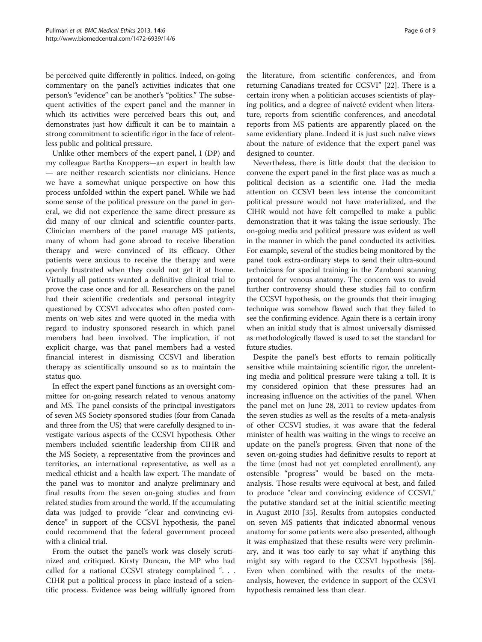be perceived quite differently in politics. Indeed, on-going commentary on the panel's activities indicates that one person's "evidence" can be another's "politics." The subsequent activities of the expert panel and the manner in which its activities were perceived bears this out, and demonstrates just how difficult it can be to maintain a strong commitment to scientific rigor in the face of relentless public and political pressure.

Unlike other members of the expert panel, I (DP) and my colleague Bartha Knoppers—an expert in health law — are neither research scientists nor clinicians. Hence we have a somewhat unique perspective on how this process unfolded within the expert panel. While we had some sense of the political pressure on the panel in general, we did not experience the same direct pressure as did many of our clinical and scientific counter-parts. Clinician members of the panel manage MS patients, many of whom had gone abroad to receive liberation therapy and were convinced of its efficacy. Other patients were anxious to receive the therapy and were openly frustrated when they could not get it at home. Virtually all patients wanted a definitive clinical trial to prove the case once and for all. Researchers on the panel had their scientific credentials and personal integrity questioned by CCSVI advocates who often posted comments on web sites and were quoted in the media with regard to industry sponsored research in which panel members had been involved. The implication, if not explicit charge, was that panel members had a vested financial interest in dismissing CCSVI and liberation therapy as scientifically unsound so as to maintain the status quo.

In effect the expert panel functions as an oversight committee for on-going research related to venous anatomy and MS. The panel consists of the principal investigators of seven MS Society sponsored studies (four from Canada and three from the US) that were carefully designed to investigate various aspects of the CCSVI hypothesis. Other members included scientific leadership from CIHR and the MS Society, a representative from the provinces and territories, an international representative, as well as a medical ethicist and a health law expert. The mandate of the panel was to monitor and analyze preliminary and final results from the seven on-going studies and from related studies from around the world. If the accumulating data was judged to provide "clear and convincing evidence" in support of the CCSVI hypothesis, the panel could recommend that the federal government proceed with a clinical trial.

From the outset the panel's work was closely scrutinized and critiqued. Kirsty Duncan, the MP who had called for a national CCSVI strategy complained "... CIHR put a political process in place instead of a scientific process. Evidence was being willfully ignored from

the literature, from scientific conferences, and from returning Canadians treated for CCSVI" [[22\]](#page-7-0). There is a certain irony when a politician accuses scientists of playing politics, and a degree of naiveté evident when literature, reports from scientific conferences, and anecdotal reports from MS patients are apparently placed on the same evidentiary plane. Indeed it is just such naïve views about the nature of evidence that the expert panel was designed to counter.

Nevertheless, there is little doubt that the decision to convene the expert panel in the first place was as much a political decision as a scientific one. Had the media attention on CCSVI been less intense the concomitant political pressure would not have materialized, and the CIHR would not have felt compelled to make a public demonstration that it was taking the issue seriously. The on-going media and political pressure was evident as well in the manner in which the panel conducted its activities. For example, several of the studies being monitored by the panel took extra-ordinary steps to send their ultra-sound technicians for special training in the Zamboni scanning protocol for venous anatomy. The concern was to avoid further controversy should these studies fail to confirm the CCSVI hypothesis, on the grounds that their imaging technique was somehow flawed such that they failed to see the confirming evidence. Again there is a certain irony when an initial study that is almost universally dismissed as methodologically flawed is used to set the standard for future studies.

Despite the panel's best efforts to remain politically sensitive while maintaining scientific rigor, the unrelenting media and political pressure were taking a toll. It is my considered opinion that these pressures had an increasing influence on the activities of the panel. When the panel met on June 28, 2011 to review updates from the seven studies as well as the results of a meta-analysis of other CCSVI studies, it was aware that the federal minister of health was waiting in the wings to receive an update on the panel's progress. Given that none of the seven on-going studies had definitive results to report at the time (most had not yet completed enrollment), any ostensible "progress" would be based on the metaanalysis. Those results were equivocal at best, and failed to produce "clear and convincing evidence of CCSVI," the putative standard set at the initial scientific meeting in August 2010 [\[35](#page-7-0)]. Results from autopsies conducted on seven MS patients that indicated abnormal venous anatomy for some patients were also presented, although it was emphasized that these results were very preliminary, and it was too early to say what if anything this might say with regard to the CCSVI hypothesis [\[36](#page-7-0)]. Even when combined with the results of the metaanalysis, however, the evidence in support of the CCSVI hypothesis remained less than clear.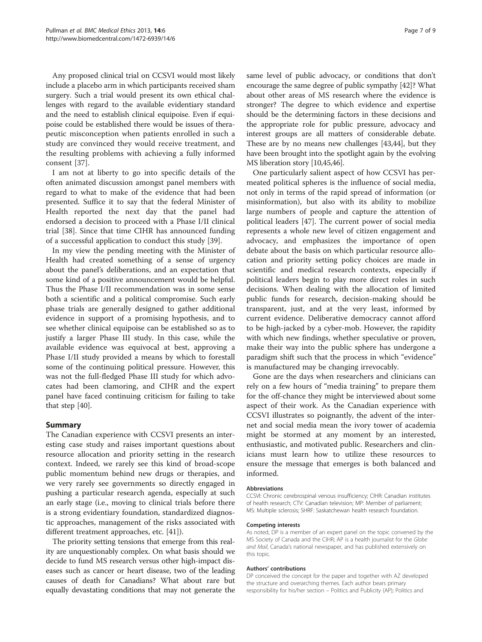Any proposed clinical trial on CCSVI would most likely include a placebo arm in which participants received sham surgery. Such a trial would present its own ethical challenges with regard to the available evidentiary standard and the need to establish clinical equipoise. Even if equipoise could be established there would be issues of therapeutic misconception when patients enrolled in such a study are convinced they would receive treatment, and the resulting problems with achieving a fully informed consent [\[37](#page-7-0)].

I am not at liberty to go into specific details of the often animated discussion amongst panel members with regard to what to make of the evidence that had been presented. Suffice it to say that the federal Minister of Health reported the next day that the panel had endorsed a decision to proceed with a Phase I/II clinical trial [[38\]](#page-7-0). Since that time CIHR has announced funding of a successful application to conduct this study [\[39](#page-7-0)].

In my view the pending meeting with the Minister of Health had created something of a sense of urgency about the panel's deliberations, and an expectation that some kind of a positive announcement would be helpful. Thus the Phase I/II recommendation was in some sense both a scientific and a political compromise. Such early phase trials are generally designed to gather additional evidence in support of a promising hypothesis, and to see whether clinical equipoise can be established so as to justify a larger Phase III study. In this case, while the available evidence was equivocal at best, approving a Phase I/II study provided a means by which to forestall some of the continuing political pressure. However, this was not the full-fledged Phase III study for which advocates had been clamoring, and CIHR and the expert panel have faced continuing criticism for failing to take that step [\[40](#page-7-0)].

#### Summary

The Canadian experience with CCSVI presents an interesting case study and raises important questions about resource allocation and priority setting in the research context. Indeed, we rarely see this kind of broad-scope public momentum behind new drugs or therapies, and we very rarely see governments so directly engaged in pushing a particular research agenda, especially at such an early stage (i.e., moving to clinical trials before there is a strong evidentiary foundation, standardized diagnostic approaches, management of the risks associated with different treatment approaches, etc. [[41](#page-7-0)]).

The priority setting tensions that emerge from this reality are unquestionably complex. On what basis should we decide to fund MS research versus other high-impact diseases such as cancer or heart disease, two of the leading causes of death for Canadians? What about rare but equally devastating conditions that may not generate the same level of public advocacy, or conditions that don't encourage the same degree of public sympathy [\[42\]](#page-8-0)? What about other areas of MS research where the evidence is stronger? The degree to which evidence and expertise should be the determining factors in these decisions and the appropriate role for public pressure, advocacy and interest groups are all matters of considerable debate. These are by no means new challenges [\[43,44](#page-8-0)], but they have been brought into the spotlight again by the evolving MS liberation story [\[10](#page-7-0)[,45,46](#page-8-0)].

One particularly salient aspect of how CCSVI has permeated political spheres is the influence of social media, not only in terms of the rapid spread of information (or misinformation), but also with its ability to mobilize large numbers of people and capture the attention of political leaders [[47\]](#page-8-0). The current power of social media represents a whole new level of citizen engagement and advocacy, and emphasizes the importance of open debate about the basis on which particular resource allocation and priority setting policy choices are made in scientific and medical research contexts, especially if political leaders begin to play more direct roles in such decisions. When dealing with the allocation of limited public funds for research, decision-making should be transparent, just, and at the very least, informed by current evidence. Deliberative democracy cannot afford to be high-jacked by a cyber-mob. However, the rapidity with which new findings, whether speculative or proven, make their way into the public sphere has undergone a paradigm shift such that the process in which "evidence" is manufactured may be changing irrevocably.

Gone are the days when researchers and clinicians can rely on a few hours of "media training" to prepare them for the off-chance they might be interviewed about some aspect of their work. As the Canadian experience with CCSVI illustrates so poignantly, the advent of the internet and social media mean the ivory tower of academia might be stormed at any moment by an interested, enthusiastic, and motivated public. Researchers and clinicians must learn how to utilize these resources to ensure the message that emerges is both balanced and informed.

#### Abbreviations

CCSVI: Chronic cerebrospinal venous insufficiency; CIHR: Canadian institutes of health research; CTV: Canadian television; MP: Member of parliament; MS: Multiple sclerosis; SHRF: Saskatchewan health research foundation.

#### Competing interests

As noted, DP is a member of an expert panel on the topic convened by the MS Society of Canada and the CIHR; AP is a health journalist for the Globe and Mail, Canada's national newspaper, and has published extensively on this topic.

#### Authors' contributions

DP conceived the concept for the paper and together with AZ developed the structure and overarching themes. Each author bears primary responsibility for his/her section – Politics and Publicity (AP); Politics and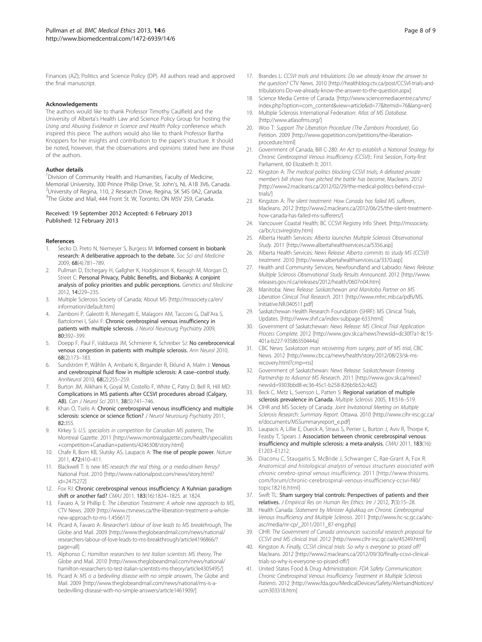<span id="page-7-0"></span>Finances (AZ); Politics and Science Policy (DP). All authors read and approved the final manuscript.

#### Acknowledgements

The authors would like to thank Professor Timothy Caulfield and the University of Alberta's Health Law and Science Policy Group for hosting the Using and Abusing Evidence in Science and Health Policy conference which inspired this piece. The authors would also like to thank Professor Bartha Knoppers for her insights and contribution to the paper's structure. It should be noted, however, that the observations and opinions stated here are those of the authors.

#### Author details

<sup>1</sup> Division of Community Health and Humanities, Faculty of Medicine, Memorial University, 300 Prince Philip Drive, St. John's, NL A1B 3V6, Canada. <sup>2</sup> <sup>2</sup>University of Regina, 110, 2 Research Drive, Regina, SK S4S 0A2, Canada. <sup>3</sup>The Globe and Mail, 444 Front St. W, Toronto, ON M5V 2S9, Canada.

#### Received: 19 September 2012 Accepted: 6 February 2013 Published: 12 February 2013

#### References

- 1. Secko D, Preto N, Niemeyer S, Burgess M: Informed consent in biobank research: A deliberative approach to the debate. Soc Sci and Medicine 2009, 68(4):781–789.
- 2. Pullman D, Etchegary H, Gallgher K, Hodgkinson K, Keough M, Morgan D, Street C: Personal Privacy, Public Benefits, and Biobanks: A conjoint analysis of policy priorities and public perceptions. Genetics and Medicine 2012, 14:229–235.
- 3. Multiple Sclerosis Society of Canada; About MS [\[http://mssociety.ca/en/](http://mssociety.ca/en/information/default.htm) [information/default.htm\]](http://mssociety.ca/en/information/default.htm)
- 4. Zamboni P, Galeotti R, Menegatti E, Malagoni AM, Tacconi G, Dall'Ara S, Bartolomei I, Salvi F: Chronic cerebrospinal venous insufficiency in patients with multiple sclerosis. J Neurol Neurosurg Psychiatry 2009, 80:392–399.
- 5. Doepp F, Paul F, Valdueza JM, Schmierer K, Schreiber SJ: No cerebrocervical venous congestion in patients with multiple sclerosis. Ann Neurol 2010, 68(2):173–183.
- Sundström P, Wåhlin A, Ambarki K, Birgander R, Eklund A, Malm J: Venous and cerebrospinal fluid flow in multiple sclerosis: A case–control study. AnnNeurol 2010, 68(2):255–259.
- 7. Burton JM, Alikhani K, Goyal M, Costello F, White C, Patry D, Bell R, Hill MD: Complications in MS patients after CCSVI procedures abroad (Calgary, AB). Can J Neurol Sci 2011, 38(5):741–746.
- Khan O, Tselis A: Chronic cerebrospinal venous insufficiency and multiple sclerosis: science or science fiction? J Neurol Neurosurg Psychiatry 2011, 82:355.
- 9. Kirkey S: U.S. specialists in competition for Canadian MS patients, The Montreal Gazette. 2011 [[http://www.montrealgazette.com/health/specialists](http://www.montrealgazette.com/health/specialists+competition+Canadian+patients/4246308/story.html) [+competition+Canadian+patients/4246308/story.html](http://www.montrealgazette.com/health/specialists+competition+Canadian+patients/4246308/story.html)]
- 10. Chafe R, Born KB, Slutsky AS, Laupacis A: The rise of people power. Nature 2011, 472:410–411.
- 11. Blackwell T: Is new MS research the real thing, or a media-driven frenzy? National Post. 2010 [[http://www.nationalpost.com/news/story.html?](http://www.nationalpost.com/news/story.html?id=2475272) [id=2475272](http://www.nationalpost.com/news/story.html?id=2475272)]
- 12. Fox RJ: Chronic cerebrospinal venous insufficiency: A Kuhnian paradigm shift or another fad? CMAJ 2011, 183(16):1824–1825. at 1824.
- 13. Favaro A, St Phillip E: The Liberation Treatment: A whole new approach to MS, CTV News. 2009 [\[http://www.ctvnews.ca/the-liberation-treatment-a-whole](http://www.ctvnews.ca/the-liberation-treatment-a-whole-new-approach-to-ms-1.456617)[new-approach-to-ms-1.456617\]](http://www.ctvnews.ca/the-liberation-treatment-a-whole-new-approach-to-ms-1.456617)
- 14. Picard A, Favaro A: Researcher's labour of love leads to MS breakthrough, The Globe and Mail. 2009 [\[http://www.theglobeandmail.com/news/national/](http://www.theglobeandmail.com/news/national/researchers-labour-of-love-leads-to-ms-breakthrough/article4196866/?page=all) [researchers-labour-of-love-leads-to-ms-breakthrough/article4196866/?](http://www.theglobeandmail.com/news/national/researchers-labour-of-love-leads-to-ms-breakthrough/article4196866/?page=all) [page=all](http://www.theglobeandmail.com/news/national/researchers-labour-of-love-leads-to-ms-breakthrough/article4196866/?page=all)]
- 15. Alphonso C: Hamilton researchers to test Italian scientists MS theory, The Globe and Mail. 2010 [\[http://www.theglobeandmail.com/news/national/](http://www.theglobeandmail.com/news/national/hamilton-researchers-to-test-italian-scientists-ms-theory/article4305495/) [hamilton-researchers-to-test-italian-scientists-ms-theory/article4305495/](http://www.theglobeandmail.com/news/national/hamilton-researchers-to-test-italian-scientists-ms-theory/article4305495/)]
- 16. Picard A: MS is a bedeviling disease with no simple answers, The Globe and Mail. 2009 [\[http://www.theglobeandmail.com/news/national/ms-is-a](http://www.theglobeandmail.com/news/national/ms-is-a-bedevilling-disease-with-no-simple-answers/article1461909/)[bedevilling-disease-with-no-simple-answers/article1461909/](http://www.theglobeandmail.com/news/national/ms-is-a-bedevilling-disease-with-no-simple-answers/article1461909/)]
- 17. Brandes L: CCSVI trials and tribulations: Do we already know the answer to the question? CTV News. 2010 [[http://healthblog.ctv.ca/post/CCSVI-trials-and](http://healthblog.ctv.ca/post/CCSVI-trials-and-tribulations-Do-we-already-know-the-answer-to-the-question.aspx)[tribulations-Do-we-already-know-the-answer-to-the-question.aspx\]](http://healthblog.ctv.ca/post/CCSVI-trials-and-tribulations-Do-we-already-know-the-answer-to-the-question.aspx)
- 18. Science Media Centre of Canada. [\[http://www.sciencemediacentre.ca/smc/](http://www.sciencemediacentre.ca/smc/index.php?option=com_content&view=article&id=77&Itemid=76&lang=en) [index.php?option=com\\_content&view=article&id=77&Itemid=76&lang=en\]](http://www.sciencemediacentre.ca/smc/index.php?option=com_content&view=article&id=77&Itemid=76&lang=en)
- 19. Multiple Sclerosis International Federation: Atlas of MS Database. [<http://www.atlasofms.org/>]
- 20. Woo T: Support The Liberation Procedure (The Zamboni Procedure), Go Petition. 2009 [\[http://www.gopetition.com/petitions/the-liberation](http://www.gopetition.com/petitions/the-liberation-procedure.html)[procedure.html](http://www.gopetition.com/petitions/the-liberation-procedure.html)]
- 21. Government of Canada, Bill C-280: An Act to establish a National Strategy for Chronic Cerebrospinal Venous Insufficiency (CCSVI).: First Session, Forty-first Parliament, 60 Elizabeth II; 2011.
- 22. Kingston A: The medical politics blocking CCSVI trials; A defeated private member's bill shows how pitched the battle has become, Macleans. 2012 [[http://www2.macleans.ca/2012/02/29/the-medical-politics-behind-ccsvi](http://www2.macleans.ca/2012/02/29/the-medical-politics-behind-ccsvi-trials/)[trials/](http://www2.macleans.ca/2012/02/29/the-medical-politics-behind-ccsvi-trials/)]
- Kingston A: The silent treatment: How Canada has failed MS sufferers, Macleans. 2012 [[http://www2.macleans.ca/2012/06/25/the-silent-treatment](http://www2.macleans.ca/2012/06/25/the-silent-treatment-how-canada-has-failed-ms-sufferers/)[how-canada-has-failed-ms-sufferers/](http://www2.macleans.ca/2012/06/25/the-silent-treatment-how-canada-has-failed-ms-sufferers/)]
- 24. Vancouver Coastal Health; BC CCSVI Registry Info Sheet. [[http://mssociety.](http://mssociety.ca/bc/ccsviregistry.htm) [ca/bc/ccsviregistry.htm](http://mssociety.ca/bc/ccsviregistry.htm)]
- 25. Alberta Health Services: Alberta launches Multiple Sclerosis Observational Study. 2011 [[http://www.albertahealthservices.ca/5356.asp\]](http://www.albertahealthservices.ca/5356.asp)
- 26. Alberta Health Services: News Release: Alberta commits to study MS (CCSVI) treatment. 2010 [[http://www.albertahealthservices.ca/3370.asp\]](http://www.albertahealthservices.ca/3370.asp)
- 27. Health and Community Services, Newfoundland and Labrado: News Release: Multiple Sclerosis Observational Study Results Announced. 2012 [[http://www.](http://www.releases.gov.nl.ca/releases/2012/health/0607n04.htm) [releases.gov.nl.ca/releases/2012/health/0607n04.htm](http://www.releases.gov.nl.ca/releases/2012/health/0607n04.htm)]
- 28. Manitoba: News Release: Saskatchewan and Manitoba Partner on MS Liberation Clinical Trial Research. 2011 [[http://www.mhrc.mb.ca/pdfs/MS.](http://www.mhrc.mb.ca/pdfs/MS.Initiative.NR.040511.pdf) [Initiative.NR.040511.pdf](http://www.mhrc.mb.ca/pdfs/MS.Initiative.NR.040511.pdf)]
- 29. Saskatchewan Health Research Foundation (SHRF): MS Clinical Trials, Updates. [\[http://www.shrf.ca/index-subpage-633.html](http://www.shrf.ca/index-subpage-633.html)]
- 30. Government of Saskatchewan: News Release: MS Clinical Trial Application Process Complete. 2012 [\[http://www.gov.sk.ca/news?newsId=dc30f7a1-8c15-](http://www.gov.sk.ca/news?newsId=dc30f7a1-8c15-401a-b227-93586350444a) [401a-b227-93586350444a](http://www.gov.sk.ca/news?newsId=dc30f7a1-8c15-401a-b227-93586350444a)]
- 31. CBC News: Saskatoon man recovering from surgery, part of MS trial, CBC News. 2012 [\[http://www.cbc.ca/news/health/story/2012/08/23/sk-ms](http://www.cbc.ca/news/health/story/2012/08/23/sk-ms-recovery.html?cmp=rss)[recovery.html?cmp=rss](http://www.cbc.ca/news/health/story/2012/08/23/sk-ms-recovery.html?cmp=rss)]
- 32. Government of Saskatchewan: News Release: Saskatchewan Entering Partnership to Advance MS Research. 2011 [\[http://www.gov.sk.ca/news?](http://www.gov.sk.ca/news?newsId=9303bbd8-ec36-45c1-b258-826b5b52c4d2) [newsId=9303bbd8-ec36-45c1-b258-826b5b52c4d2\]](http://www.gov.sk.ca/news?newsId=9303bbd8-ec36-45c1-b258-826b5b52c4d2)
- 33. Beck C, Metz L, Svenson L, Patten S: Regional variation of multiple sclerosis prevalence in Canada. Multiple Sclerosis 2005, 11:516-519.
- 34. CIHR and MS Society of Canada: Joint Invitational Meeting on Multiple Sclerosis Research: Summary Report. Ottawa. 2010 [[http://www.cihr-irsc.gc.ca/](http://www.cihr-irsc.gc.ca/e/documents/MSSummaryreport_e.pdf) [e/documents/MSSummaryreport\\_e.pdf\]](http://www.cihr-irsc.gc.ca/e/documents/MSSummaryreport_e.pdf)
- 35. Laupacis A, Lillie E, Dueck A, Straus S, Perrier L, Burton J, Aviv R, Thorpe K, Feasby T, Spears J: Association between chronic cerebrospinal venous insufficiency and multiple sclerosis: a meta-analysis. CMAJ 2011, 183(16): E1203–E1212.
- 36. Diaconu C, Staugaitis S, McBride J, Schwanger C, Rae-Grant A, Fox R: Anatomical and histological analysis of venous structures associated with chronic cerebro-spinal venous insufficiency. 2011 [\[http://www.thisisms.](http://www.thisisms.com/forum/chronic-cerebrospinal-venous-insufficiency-ccsvi-f40/topic18216.html) [com/forum/chronic-cerebrospinal-venous-insufficiency-ccsvi-f40/](http://www.thisisms.com/forum/chronic-cerebrospinal-venous-insufficiency-ccsvi-f40/topic18216.html) [topic18216.html](http://www.thisisms.com/forum/chronic-cerebrospinal-venous-insufficiency-ccsvi-f40/topic18216.html)]
- 37. Swift TL: Sham surgery trial controls: Perspectives of patients and their relatives. J Empirical Res on Human Res Ethics: Int J 2012, 7(3):15–28.
- 38. Health Canada: Statement by Minister Aglukkaq on Chronic Cerebrospinal Venous Insufficiency and Multiple Sclerosis. 2011 [\[http://www.hc-sc.gc.ca/ahc](http://www.hc-sc.gc.ca/ahc-asc/media/nr-cp/_2011/2011_87-eng.php)[asc/media/nr-cp/\\_2011/2011\\_87-eng.php](http://www.hc-sc.gc.ca/ahc-asc/media/nr-cp/_2011/2011_87-eng.php)]
- 39. CIHR: The Government of Canada announces successful research proposal for CCSVI and MS clinical trial. 2012 [[http://www.cihr-irsc.gc.ca/e/45249.html\]](http://www.cihr-irsc.gc.ca/e/45249.html)
- 40. Kingston A: Finally, CCSVI clinical trials. So why is everyone so pissed off? Macleans. 2012 [[http://www2.macleans.ca/2012/09/30/finally-ccsvi-clinical](http://www2.macleans.ca/2012/09/30/finally-ccsvi-clinical-trials-so-why-is-everyone-so-pissed-off/)[trials-so-why-is-everyone-so-pissed-off/\]](http://www2.macleans.ca/2012/09/30/finally-ccsvi-clinical-trials-so-why-is-everyone-so-pissed-off/)
- 41. United States Food & Drug Administration: FDA Safety Communication: Chronic Cerebrospinal Venous Insufficiency Treatment in Multiple Sclerosis Patients. 2012 [\[http://www.fda.gov/MedicalDevices/Safety/AlertsandNotices/](http://www.fda.gov/MedicalDevices/Safety/AlertsandNotices/ucm303318.htm) [ucm303318.htm\]](http://www.fda.gov/MedicalDevices/Safety/AlertsandNotices/ucm303318.htm)